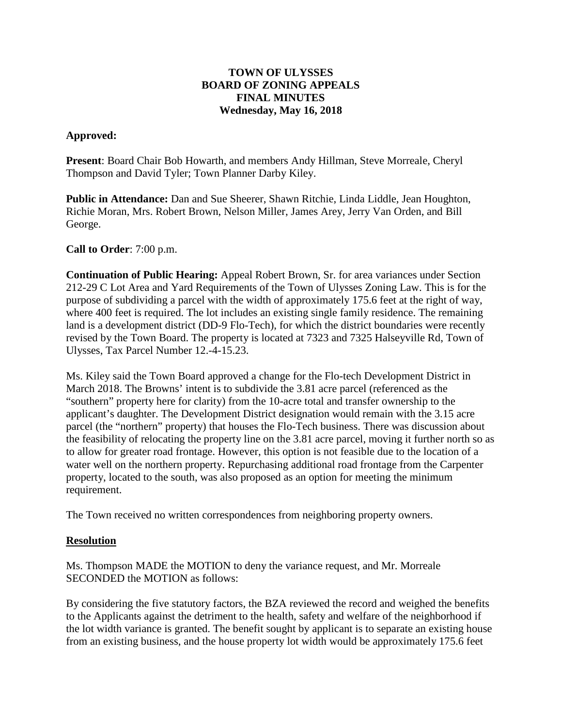### **TOWN OF ULYSSES BOARD OF ZONING APPEALS FINAL MINUTES Wednesday, May 16, 2018**

# **Approved:**

**Present**: Board Chair Bob Howarth, and members Andy Hillman, Steve Morreale, Cheryl Thompson and David Tyler; Town Planner Darby Kiley.

**Public in Attendance:** Dan and Sue Sheerer, Shawn Ritchie, Linda Liddle, Jean Houghton, Richie Moran, Mrs. Robert Brown, Nelson Miller, James Arey, Jerry Van Orden, and Bill George.

### **Call to Order**: 7:00 p.m.

**Continuation of Public Hearing:** Appeal Robert Brown, Sr. for area variances under Section 212-29 C Lot Area and Yard Requirements of the Town of Ulysses Zoning Law. This is for the purpose of subdividing a parcel with the width of approximately 175.6 feet at the right of way, where 400 feet is required. The lot includes an existing single family residence. The remaining land is a development district (DD-9 Flo-Tech), for which the district boundaries were recently revised by the Town Board. The property is located at 7323 and 7325 Halseyville Rd, Town of Ulysses, Tax Parcel Number 12.-4-15.23.

Ms. Kiley said the Town Board approved a change for the Flo-tech Development District in March 2018. The Browns' intent is to subdivide the 3.81 acre parcel (referenced as the "southern" property here for clarity) from the 10-acre total and transfer ownership to the applicant's daughter. The Development District designation would remain with the 3.15 acre parcel (the "northern" property) that houses the Flo-Tech business. There was discussion about the feasibility of relocating the property line on the 3.81 acre parcel, moving it further north so as to allow for greater road frontage. However, this option is not feasible due to the location of a water well on the northern property. Repurchasing additional road frontage from the Carpenter property, located to the south, was also proposed as an option for meeting the minimum requirement.

The Town received no written correspondences from neighboring property owners.

#### **Resolution**

Ms. Thompson MADE the MOTION to deny the variance request, and Mr. Morreale SECONDED the MOTION as follows:

By considering the five statutory factors, the BZA reviewed the record and weighed the benefits to the Applicants against the detriment to the health, safety and welfare of the neighborhood if the lot width variance is granted. The benefit sought by applicant is to separate an existing house from an existing business, and the house property lot width would be approximately 175.6 feet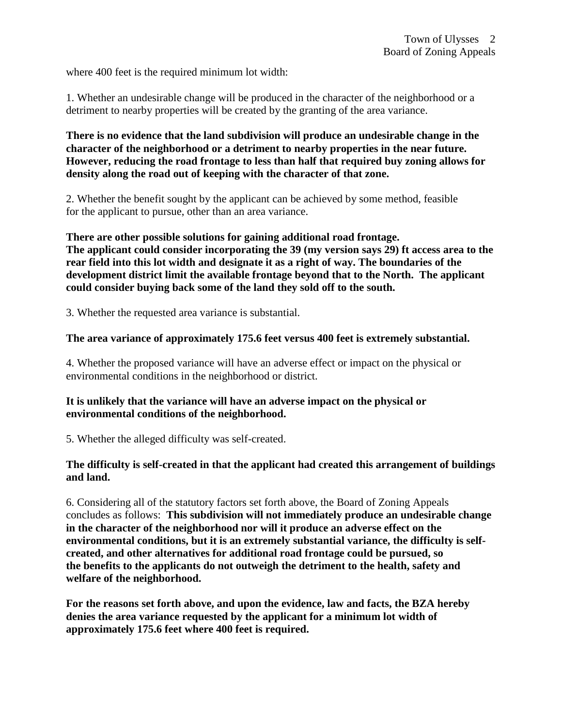where 400 feet is the required minimum lot width:

1. Whether an undesirable change will be produced in the character of the neighborhood or a detriment to nearby properties will be created by the granting of the area variance.

**There is no evidence that the land subdivision will produce an undesirable change in the character of the neighborhood or a detriment to nearby properties in the near future. However, reducing the road frontage to less than half that required buy zoning allows for density along the road out of keeping with the character of that zone.**

2. Whether the benefit sought by the applicant can be achieved by some method, feasible for the applicant to pursue, other than an area variance.

**There are other possible solutions for gaining additional road frontage. The applicant could consider incorporating the 39 (my version says 29) ft access area to the rear field into this lot width and designate it as a right of way. The boundaries of the development district limit the available frontage beyond that to the North. The applicant could consider buying back some of the land they sold off to the south.** 

3. Whether the requested area variance is substantial.

### **The area variance of approximately 175.6 feet versus 400 feet is extremely substantial.**

4. Whether the proposed variance will have an adverse effect or impact on the physical or environmental conditions in the neighborhood or district.

# **It is unlikely that the variance will have an adverse impact on the physical or environmental conditions of the neighborhood.**

5. Whether the alleged difficulty was self-created.

### **The difficulty is self-created in that the applicant had created this arrangement of buildings and land.**

6. Considering all of the statutory factors set forth above, the Board of Zoning Appeals concludes as follows: **This subdivision will not immediately produce an undesirable change in the character of the neighborhood nor will it produce an adverse effect on the environmental conditions, but it is an extremely substantial variance, the difficulty is selfcreated, and other alternatives for additional road frontage could be pursued, so the benefits to the applicants do not outweigh the detriment to the health, safety and welfare of the neighborhood.**

**For the reasons set forth above, and upon the evidence, law and facts, the BZA hereby denies the area variance requested by the applicant for a minimum lot width of approximately 175.6 feet where 400 feet is required.**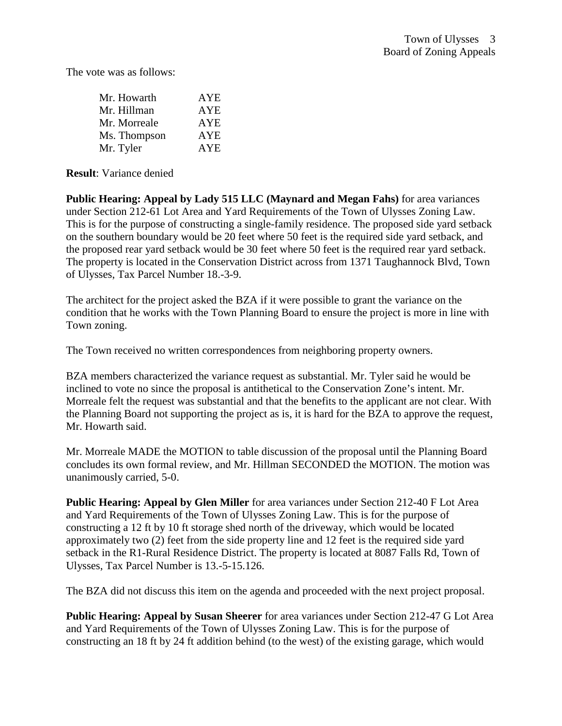The vote was as follows:

| Mr. Howarth  | <b>AYE</b> |
|--------------|------------|
| Mr. Hillman  | <b>AYE</b> |
| Mr. Morreale | <b>AYE</b> |
| Ms. Thompson | <b>AYE</b> |
| Mr. Tyler    | <b>AYE</b> |

**Result**: Variance denied

**Public Hearing: Appeal by Lady 515 LLC (Maynard and Megan Fahs)** for area variances under Section 212-61 Lot Area and Yard Requirements of the Town of Ulysses Zoning Law. This is for the purpose of constructing a single-family residence. The proposed side yard setback on the southern boundary would be 20 feet where 50 feet is the required side yard setback, and the proposed rear yard setback would be 30 feet where 50 feet is the required rear yard setback. The property is located in the Conservation District across from 1371 Taughannock Blvd, Town of Ulysses, Tax Parcel Number 18.-3-9.

The architect for the project asked the BZA if it were possible to grant the variance on the condition that he works with the Town Planning Board to ensure the project is more in line with Town zoning.

The Town received no written correspondences from neighboring property owners.

BZA members characterized the variance request as substantial. Mr. Tyler said he would be inclined to vote no since the proposal is antithetical to the Conservation Zone's intent. Mr. Morreale felt the request was substantial and that the benefits to the applicant are not clear. With the Planning Board not supporting the project as is, it is hard for the BZA to approve the request, Mr. Howarth said.

Mr. Morreale MADE the MOTION to table discussion of the proposal until the Planning Board concludes its own formal review, and Mr. Hillman SECONDED the MOTION. The motion was unanimously carried, 5-0.

**Public Hearing: Appeal by Glen Miller** for area variances under Section 212-40 F Lot Area and Yard Requirements of the Town of Ulysses Zoning Law. This is for the purpose of constructing a 12 ft by 10 ft storage shed north of the driveway, which would be located approximately two (2) feet from the side property line and 12 feet is the required side yard setback in the R1-Rural Residence District. The property is located at 8087 Falls Rd, Town of Ulysses, Tax Parcel Number is 13.-5-15.126.

The BZA did not discuss this item on the agenda and proceeded with the next project proposal.

**Public Hearing: Appeal by Susan Sheerer** for area variances under Section 212-47 G Lot Area and Yard Requirements of the Town of Ulysses Zoning Law. This is for the purpose of constructing an 18 ft by 24 ft addition behind (to the west) of the existing garage, which would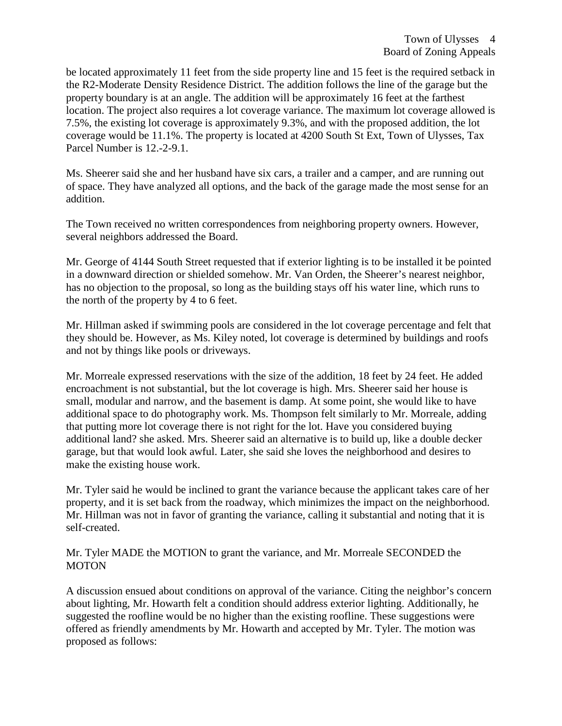be located approximately 11 feet from the side property line and 15 feet is the required setback in the R2-Moderate Density Residence District. The addition follows the line of the garage but the property boundary is at an angle. The addition will be approximately 16 feet at the farthest location. The project also requires a lot coverage variance. The maximum lot coverage allowed is 7.5%, the existing lot coverage is approximately 9.3%, and with the proposed addition, the lot coverage would be 11.1%. The property is located at 4200 South St Ext, Town of Ulysses, Tax Parcel Number is 12.-2-9.1.

Ms. Sheerer said she and her husband have six cars, a trailer and a camper, and are running out of space. They have analyzed all options, and the back of the garage made the most sense for an addition.

The Town received no written correspondences from neighboring property owners. However, several neighbors addressed the Board.

Mr. George of 4144 South Street requested that if exterior lighting is to be installed it be pointed in a downward direction or shielded somehow. Mr. Van Orden, the Sheerer's nearest neighbor, has no objection to the proposal, so long as the building stays off his water line, which runs to the north of the property by 4 to 6 feet.

Mr. Hillman asked if swimming pools are considered in the lot coverage percentage and felt that they should be. However, as Ms. Kiley noted, lot coverage is determined by buildings and roofs and not by things like pools or driveways.

Mr. Morreale expressed reservations with the size of the addition, 18 feet by 24 feet. He added encroachment is not substantial, but the lot coverage is high. Mrs. Sheerer said her house is small, modular and narrow, and the basement is damp. At some point, she would like to have additional space to do photography work. Ms. Thompson felt similarly to Mr. Morreale, adding that putting more lot coverage there is not right for the lot. Have you considered buying additional land? she asked. Mrs. Sheerer said an alternative is to build up, like a double decker garage, but that would look awful. Later, she said she loves the neighborhood and desires to make the existing house work.

Mr. Tyler said he would be inclined to grant the variance because the applicant takes care of her property, and it is set back from the roadway, which minimizes the impact on the neighborhood. Mr. Hillman was not in favor of granting the variance, calling it substantial and noting that it is self-created.

Mr. Tyler MADE the MOTION to grant the variance, and Mr. Morreale SECONDED the **MOTON** 

A discussion ensued about conditions on approval of the variance. Citing the neighbor's concern about lighting, Mr. Howarth felt a condition should address exterior lighting. Additionally, he suggested the roofline would be no higher than the existing roofline. These suggestions were offered as friendly amendments by Mr. Howarth and accepted by Mr. Tyler. The motion was proposed as follows: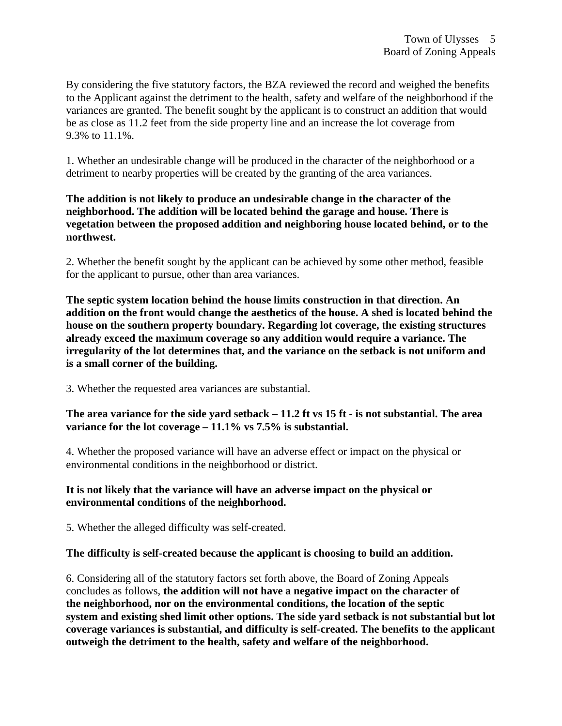By considering the five statutory factors, the BZA reviewed the record and weighed the benefits to the Applicant against the detriment to the health, safety and welfare of the neighborhood if the variances are granted. The benefit sought by the applicant is to construct an addition that would be as close as 11.2 feet from the side property line and an increase the lot coverage from 9.3% to 11.1%.

1. Whether an undesirable change will be produced in the character of the neighborhood or a detriment to nearby properties will be created by the granting of the area variances.

# **The addition is not likely to produce an undesirable change in the character of the neighborhood. The addition will be located behind the garage and house. There is vegetation between the proposed addition and neighboring house located behind, or to the northwest.**

2. Whether the benefit sought by the applicant can be achieved by some other method, feasible for the applicant to pursue, other than area variances.

**The septic system location behind the house limits construction in that direction. An addition on the front would change the aesthetics of the house. A shed is located behind the house on the southern property boundary. Regarding lot coverage, the existing structures already exceed the maximum coverage so any addition would require a variance. The irregularity of the lot determines that, and the variance on the setback is not uniform and is a small corner of the building.** 

3. Whether the requested area variances are substantial.

**The area variance for the side yard setback – 11.2 ft vs 15 ft - is not substantial. The area variance for the lot coverage – 11.1% vs 7.5% is substantial.**

4. Whether the proposed variance will have an adverse effect or impact on the physical or environmental conditions in the neighborhood or district.

# **It is not likely that the variance will have an adverse impact on the physical or environmental conditions of the neighborhood.**

5. Whether the alleged difficulty was self-created.

# **The difficulty is self-created because the applicant is choosing to build an addition.**

6. Considering all of the statutory factors set forth above, the Board of Zoning Appeals concludes as follows, **the addition will not have a negative impact on the character of the neighborhood, nor on the environmental conditions, the location of the septic system and existing shed limit other options. The side yard setback is not substantial but lot coverage variances is substantial, and difficulty is self-created. The benefits to the applicant outweigh the detriment to the health, safety and welfare of the neighborhood.**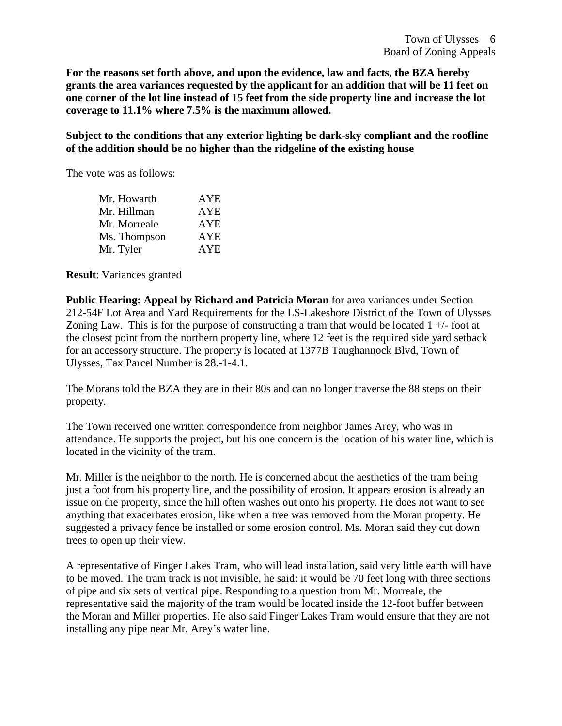**For the reasons set forth above, and upon the evidence, law and facts, the BZA hereby grants the area variances requested by the applicant for an addition that will be 11 feet on one corner of the lot line instead of 15 feet from the side property line and increase the lot coverage to 11.1% where 7.5% is the maximum allowed.**

**Subject to the conditions that any exterior lighting be dark-sky compliant and the roofline of the addition should be no higher than the ridgeline of the existing house**

The vote was as follows:

| Mr. Howarth  | <b>AYE</b> |
|--------------|------------|
| Mr. Hillman  | <b>AYE</b> |
| Mr. Morreale | <b>AYE</b> |
| Ms. Thompson | <b>AYE</b> |
| Mr. Tyler    | <b>AYE</b> |

**Result**: Variances granted

**Public Hearing: Appeal by Richard and Patricia Moran** for area variances under Section 212-54F Lot Area and Yard Requirements for the LS-Lakeshore District of the Town of Ulysses Zoning Law. This is for the purpose of constructing a tram that would be located  $1 +$ -foot at the closest point from the northern property line, where 12 feet is the required side yard setback for an accessory structure. The property is located at 1377B Taughannock Blvd, Town of Ulysses, Tax Parcel Number is 28.-1-4.1.

The Morans told the BZA they are in their 80s and can no longer traverse the 88 steps on their property.

The Town received one written correspondence from neighbor James Arey, who was in attendance. He supports the project, but his one concern is the location of his water line, which is located in the vicinity of the tram.

Mr. Miller is the neighbor to the north. He is concerned about the aesthetics of the tram being just a foot from his property line, and the possibility of erosion. It appears erosion is already an issue on the property, since the hill often washes out onto his property. He does not want to see anything that exacerbates erosion, like when a tree was removed from the Moran property. He suggested a privacy fence be installed or some erosion control. Ms. Moran said they cut down trees to open up their view.

A representative of Finger Lakes Tram, who will lead installation, said very little earth will have to be moved. The tram track is not invisible, he said: it would be 70 feet long with three sections of pipe and six sets of vertical pipe. Responding to a question from Mr. Morreale, the representative said the majority of the tram would be located inside the 12-foot buffer between the Moran and Miller properties. He also said Finger Lakes Tram would ensure that they are not installing any pipe near Mr. Arey's water line.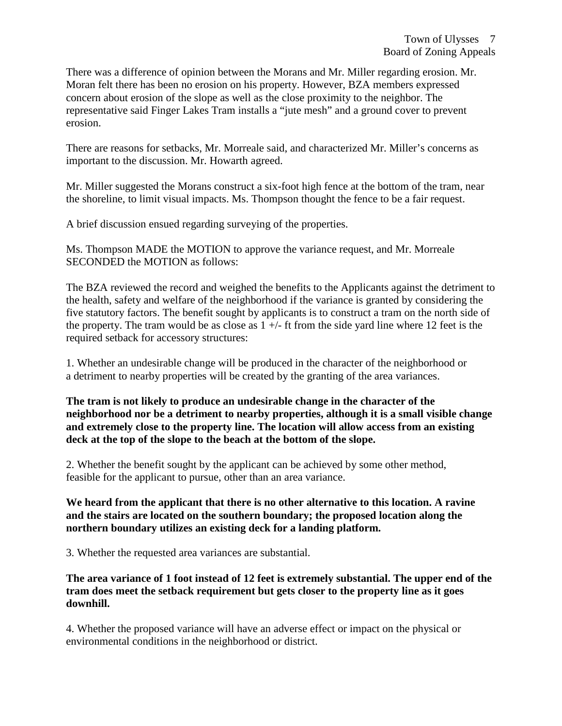There was a difference of opinion between the Morans and Mr. Miller regarding erosion. Mr. Moran felt there has been no erosion on his property. However, BZA members expressed concern about erosion of the slope as well as the close proximity to the neighbor. The representative said Finger Lakes Tram installs a "jute mesh" and a ground cover to prevent erosion.

There are reasons for setbacks, Mr. Morreale said, and characterized Mr. Miller's concerns as important to the discussion. Mr. Howarth agreed.

Mr. Miller suggested the Morans construct a six-foot high fence at the bottom of the tram, near the shoreline, to limit visual impacts. Ms. Thompson thought the fence to be a fair request.

A brief discussion ensued regarding surveying of the properties.

Ms. Thompson MADE the MOTION to approve the variance request, and Mr. Morreale SECONDED the MOTION as follows:

The BZA reviewed the record and weighed the benefits to the Applicants against the detriment to the health, safety and welfare of the neighborhood if the variance is granted by considering the five statutory factors. The benefit sought by applicants is to construct a tram on the north side of the property. The tram would be as close as  $1 +/$ - ft from the side yard line where 12 feet is the required setback for accessory structures:

1. Whether an undesirable change will be produced in the character of the neighborhood or a detriment to nearby properties will be created by the granting of the area variances.

**The tram is not likely to produce an undesirable change in the character of the neighborhood nor be a detriment to nearby properties, although it is a small visible change and extremely close to the property line. The location will allow access from an existing deck at the top of the slope to the beach at the bottom of the slope.**

2. Whether the benefit sought by the applicant can be achieved by some other method, feasible for the applicant to pursue, other than an area variance.

**We heard from the applicant that there is no other alternative to this location. A ravine and the stairs are located on the southern boundary; the proposed location along the northern boundary utilizes an existing deck for a landing platform.**

3. Whether the requested area variances are substantial.

**The area variance of 1 foot instead of 12 feet is extremely substantial. The upper end of the tram does meet the setback requirement but gets closer to the property line as it goes downhill.**

4. Whether the proposed variance will have an adverse effect or impact on the physical or environmental conditions in the neighborhood or district.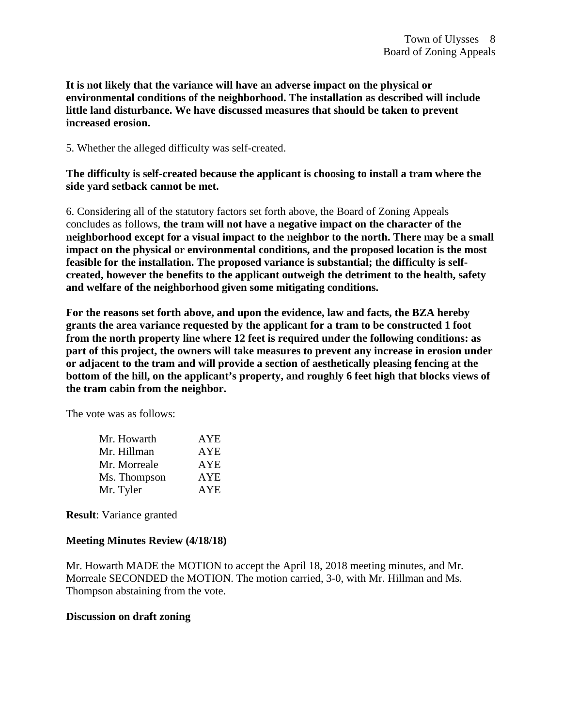**It is not likely that the variance will have an adverse impact on the physical or environmental conditions of the neighborhood. The installation as described will include little land disturbance. We have discussed measures that should be taken to prevent increased erosion.** 

5. Whether the alleged difficulty was self-created.

**The difficulty is self-created because the applicant is choosing to install a tram where the side yard setback cannot be met.**

6. Considering all of the statutory factors set forth above, the Board of Zoning Appeals concludes as follows, **the tram will not have a negative impact on the character of the neighborhood except for a visual impact to the neighbor to the north. There may be a small impact on the physical or environmental conditions, and the proposed location is the most feasible for the installation. The proposed variance is substantial; the difficulty is selfcreated, however the benefits to the applicant outweigh the detriment to the health, safety and welfare of the neighborhood given some mitigating conditions.** 

**For the reasons set forth above, and upon the evidence, law and facts, the BZA hereby grants the area variance requested by the applicant for a tram to be constructed 1 foot from the north property line where 12 feet is required under the following conditions: as part of this project, the owners will take measures to prevent any increase in erosion under or adjacent to the tram and will provide a section of aesthetically pleasing fencing at the bottom of the hill, on the applicant's property, and roughly 6 feet high that blocks views of the tram cabin from the neighbor.**

The vote was as follows:

| Mr. Howarth  | <b>AYE</b> |
|--------------|------------|
| Mr. Hillman  | <b>AYE</b> |
| Mr. Morreale | <b>AYE</b> |
| Ms. Thompson | <b>AYE</b> |
| Mr. Tyler    | <b>AYE</b> |

**Result**: Variance granted

#### **Meeting Minutes Review (4/18/18)**

Mr. Howarth MADE the MOTION to accept the April 18, 2018 meeting minutes, and Mr. Morreale SECONDED the MOTION. The motion carried, 3-0, with Mr. Hillman and Ms. Thompson abstaining from the vote.

#### **Discussion on draft zoning**